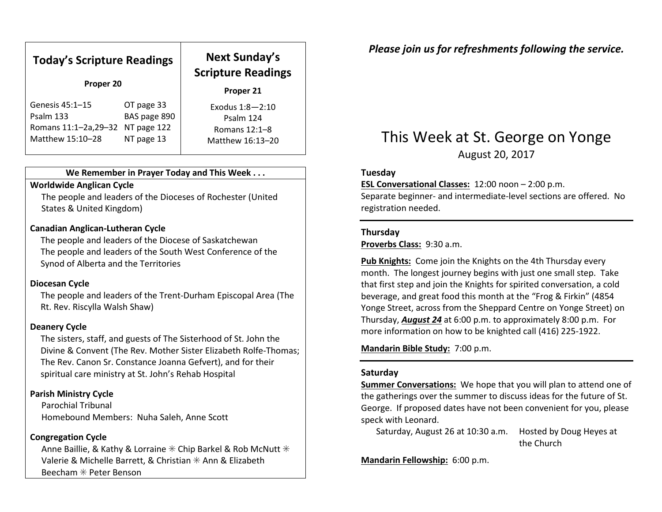| <b>Today's Scripture Readings</b><br>Proper 20 |              | <b>Next Sunday's</b><br><b>Scripture Readings</b><br>Proper 21 |
|------------------------------------------------|--------------|----------------------------------------------------------------|
| Genesis 45:1-15                                | OT page 33   | Exodus $1:8 - 2:10$                                            |
| Psalm 133                                      | BAS page 890 | Psalm 124                                                      |
| Romans 11:1-2a, 29-32                          | NT page 122  | Romans $12:1-8$                                                |
| Matthew 15:10-28                               | NT page 13   | Matthew 16:13-20                                               |

#### We Remember in Prayer Today and This Week . . .

#### Worldwide Anglican Cycle

 The people and leaders of the Dioceses of Rochester (United States & United Kingdom)

#### Canadian Anglican-Lutheran Cycle

The people and leaders of the Diocese of Saskatchewan The people and leaders of the South West Conference of the Synod of Alberta and the Territories

#### Diocesan Cycle

The people and leaders of the Trent-Durham Episcopal Area (The Rt. Rev. Riscylla Walsh Shaw)

#### Deanery Cycle

The sisters, staff, and guests of The Sisterhood of St. John the Divine & Convent (The Rev. Mother Sister Elizabeth Rolfe-Thomas; The Rev. Canon Sr. Constance Joanna Gefvert), and for their spiritual care ministry at St. John's Rehab Hospital

### Parish Ministry Cycle

Parochial Tribunal Homebound Members: Nuha Saleh, Anne Scott

#### Congregation Cycle

Anne Baillie, & Kathy & Lorraine  $*$  Chip Barkel & Rob McNutt  $*$ Valerie & Michelle Barrett, & Christian ✳ Ann & Elizabeth Beecham ✳ Peter Benson

Please join us for refreshments following the service.

# This Week at St. George on Yonge

August 20, 2017

#### Tuesday

ESL Conversational Classes: 12:00 noon - 2:00 p.m.

Separate beginner- and intermediate-level sections are offered. No registration needed.

#### Thursday

Proverbs Class: 9:30 a.m.

Pub Knights: Come join the Knights on the 4th Thursday every month. The longest journey begins with just one small step. Take that first step and join the Knights for spirited conversation, a cold beverage, and great food this month at the "Frog & Firkin" (4854 Yonge Street, across from the Sheppard Centre on Yonge Street) on Thursday, August 24 at 6:00 p.m. to approximately 8:00 p.m. For more information on how to be knighted call (416) 225-1922.

Mandarin Bible Study: 7:00 p.m.

#### Saturday

Summer Conversations: We hope that you will plan to attend one of the gatherings over the summer to discuss ideas for the future of St. George. If proposed dates have not been convenient for you, please speck with Leonard.

Saturday, August 26 at 10:30 a.m. Hosted by Doug Heyes at the Church

Mandarin Fellowship: 6:00 p.m.